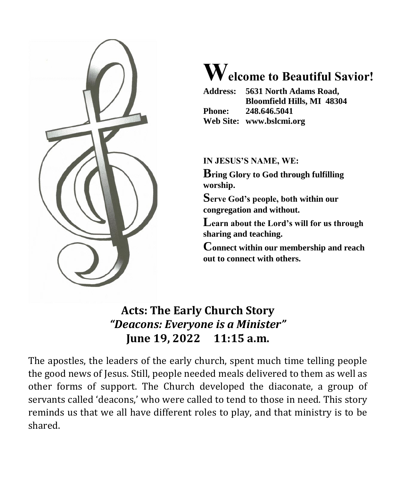

# **Welcome to Beautiful Savior!**

|               | Address: 5631 North Adams Road,   |  |
|---------------|-----------------------------------|--|
|               | <b>Bloomfield Hills, MI 48304</b> |  |
| <b>Phone:</b> | 248.646.5041                      |  |
|               | Web Site: www.bslcmi.org          |  |

# **IN JESUS'S NAME, WE:**

**Bring Glory to God through fulfilling worship.**

**Serve God's people, both within our congregation and without.**

**Learn about the Lord's will for us through sharing and teaching.**

**Connect within our membership and reach out to connect with others.**

# **Acts: The Early Church Story** *"Deacons: Everyone is a Minister"* **June 19, 2022 11:15 a.m.**

The apostles, the leaders of the early church, spent much time telling people the good news of Jesus. Still, people needed meals delivered to them as well as other forms of support. The Church developed the diaconate, a group of servants called 'deacons,' who were called to tend to those in need. This story reminds us that we all have different roles to play, and that ministry is to be shared.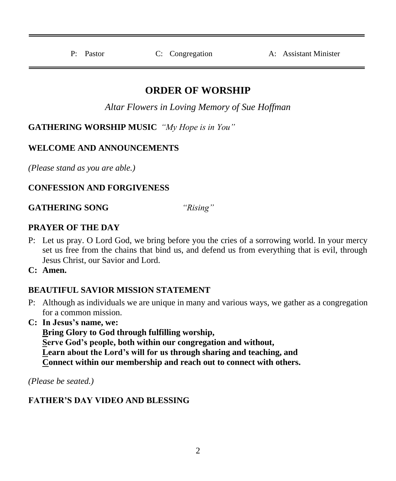P: Pastor C: Congregation A: Assistant Minister

# **ORDER OF WORSHIP**

*Altar Flowers in Loving Memory of Sue Hoffman*

**GATHERING WORSHIP MUSIC** *"My Hope is in You"*

# **WELCOME AND ANNOUNCEMENTS**

*(Please stand as you are able.)*

# **CONFESSION AND FORGIVENESS**

**GATHERING SONG** *"Rising"*

### **PRAYER OF THE DAY**

- P: Let us pray. O Lord God, we bring before you the cries of a sorrowing world. In your mercy set us free from the chains that bind us, and defend us from everything that is evil, through Jesus Christ, our Savior and Lord.
- **C: Amen.**

# **BEAUTIFUL SAVIOR MISSION STATEMENT**

- P: Although as individuals we are unique in many and various ways, we gather as a congregation for a common mission.
- **C: In Jesus's name, we:**

**Bring Glory to God through fulfilling worship, Serve God's people, both within our congregation and without, Learn about the Lord's will for us through sharing and teaching, and Connect within our membership and reach out to connect with others.**

*(Please be seated.)*

# **FATHER'S DAY VIDEO AND BLESSING**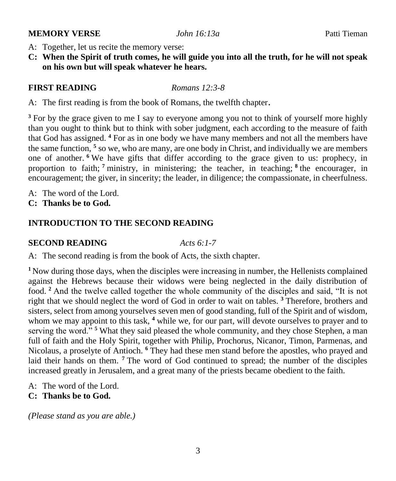#### **MEMORY VERSE** *John 16:13a* Patti Tieman

- A: Together, let us recite the memory verse:
- **C: When the Spirit of truth comes, he will guide you into all the truth, for he will not speak on his own but will speak whatever he hears.**

#### **FIRST READING** *Romans 12:3-8*

A: The first reading is from the book of Romans, the twelfth chapter.

<sup>3</sup> For by the grace given to me I say to everyone among you not to think of yourself more highly than you ought to think but to think with sober judgment, each according to the measure of faith that God has assigned. **<sup>4</sup>** For as in one body we have many members and not all the members have the same function, **<sup>5</sup>** so we, who are many, are one body in Christ, and individually we are members one of another. **<sup>6</sup>** We have gifts that differ according to the grace given to us: prophecy, in proportion to faith; **<sup>7</sup>** ministry, in ministering; the teacher, in teaching; **<sup>8</sup>** the encourager, in encouragement; the giver, in sincerity; the leader, in diligence; the compassionate, in cheerfulness.

- A: The word of the Lord.
- **C: Thanks be to God.**

#### **INTRODUCTION TO THE SECOND READING**

#### **SECOND READING** *Acts 6:1-7*

A: The second reading is from the book of Acts, the sixth chapter.

<sup>1</sup>Now during those days, when the disciples were increasing in number, the Hellenists complained against the Hebrews because their widows were being neglected in the daily distribution of food. **<sup>2</sup>** And the twelve called together the whole community of the disciples and said, "It is not right that we should neglect the word of God in order to wait on tables. **<sup>3</sup>** Therefore, brothers and sisters, select from among yourselves seven men of good standing, full of the Spirit and of wisdom, whom we may appoint to this task, <sup>4</sup> while we, for our part, will devote ourselves to prayer and to serving the word."<sup>5</sup> What they said pleased the whole community, and they chose Stephen, a man full of faith and the Holy Spirit, together with Philip, Prochorus, Nicanor, Timon, Parmenas, and Nicolaus, a proselyte of Antioch. **<sup>6</sup>** They had these men stand before the apostles, who prayed and laid their hands on them. <sup>7</sup> The word of God continued to spread; the number of the disciples increased greatly in Jerusalem, and a great many of the priests became obedient to the faith.

- $A^{\dagger}$ . The word of the Lord.
- **C: Thanks be to God.**

*(Please stand as you are able.)*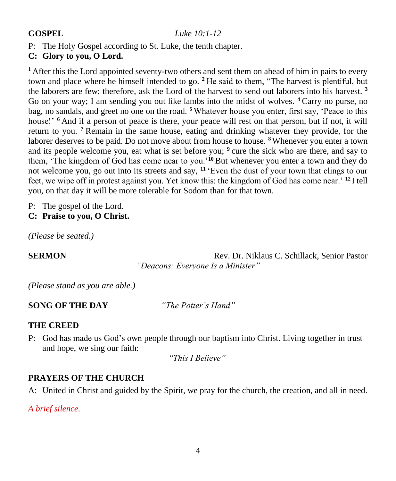#### **GOSPEL** *Luke 10:1-12*

P: The Holy Gospel according to St. Luke, the tenth chapter.

# **C: Glory to you, O Lord.**

**<sup>1</sup>**After this the Lord appointed seventy-two others and sent them on ahead of him in pairs to every town and place where he himself intended to go. **<sup>2</sup>**He said to them, "The harvest is plentiful, but the laborers are few; therefore, ask the Lord of the harvest to send out laborers into his harvest. **<sup>3</sup>** Go on your way; I am sending you out like lambs into the midst of wolves. **<sup>4</sup>**Carry no purse, no bag, no sandals, and greet no one on the road. **<sup>5</sup>**Whatever house you enter, first say, 'Peace to this house!' <sup>6</sup> And if a person of peace is there, your peace will rest on that person, but if not, it will return to you. **<sup>7</sup>**Remain in the same house, eating and drinking whatever they provide, for the laborer deserves to be paid. Do not move about from house to house. **<sup>8</sup>**Whenever you enter a town and its people welcome you, eat what is set before you; <sup>9</sup> cure the sick who are there, and say to them, 'The kingdom of God has come near to you.'**<sup>10</sup>**But whenever you enter a town and they do not welcome you, go out into its streets and say, **<sup>11</sup>**'Even the dust of your town that clings to our feet, we wipe off in protest against you. Yet know this: the kingdom of God has come near.' **<sup>12</sup>**I tell you, on that day it will be more tolerable for Sodom than for that town.

P: The gospel of the Lord.

**C: Praise to you, O Christ.**

*(Please be seated.)*

**SERMON** Rev. Dr. Niklaus C. Schillack, Senior Pastor *"Deacons: Everyone Is a Minister"*

*(Please stand as you are able.)*

**SONG OF THE DAY** *"The Potter's Hand"*

#### **THE CREED**

P: God has made us God's own people through our baptism into Christ. Living together in trust and hope, we sing our faith:

*"This I Believe"*

#### **PRAYERS OF THE CHURCH**

A: United in Christ and guided by the Spirit, we pray for the church, the creation, and all in need.

*A brief silence.*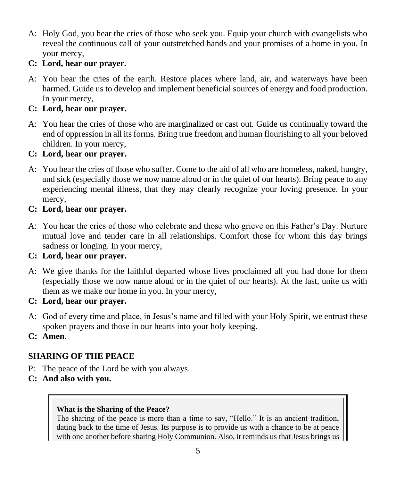A: Holy God, you hear the cries of those who seek you. Equip your church with evangelists who reveal the continuous call of your outstretched hands and your promises of a home in you. In your mercy,

# **C: Lord, hear our prayer.**

A: You hear the cries of the earth. Restore places where land, air, and waterways have been harmed. Guide us to develop and implement beneficial sources of energy and food production. In your mercy,

### **C: Lord, hear our prayer.**

A: You hear the cries of those who are marginalized or cast out. Guide us continually toward the end of oppression in all its forms. Bring true freedom and human flourishing to all your beloved children. In your mercy,

#### **C: Lord, hear our prayer.**

A: You hear the cries of those who suffer. Come to the aid of all who are homeless, naked, hungry, and sick (especially those we now name aloud or in the quiet of our hearts). Bring peace to any experiencing mental illness, that they may clearly recognize your loving presence. In your mercy.

#### **C: Lord, hear our prayer.**

A: You hear the cries of those who celebrate and those who grieve on this Father's Day. Nurture mutual love and tender care in all relationships. Comfort those for whom this day brings sadness or longing. In your mercy,

# **C: Lord, hear our prayer.**

- A: We give thanks for the faithful departed whose lives proclaimed all you had done for them (especially those we now name aloud or in the quiet of our hearts). At the last, unite us with them as we make our home in you. In your mercy,
- **C: Lord, hear our prayer.**
- A: God of every time and place, in Jesus's name and filled with your Holy Spirit, we entrust these spoken prayers and those in our hearts into your holy keeping.
- **C: Amen.**

# **SHARING OF THE PEACE**

- P: The peace of the Lord be with you always.
- **C: And also with you.**

#### **What is the Sharing of the Peace?**

The sharing of the peace is more than a time to say, "Hello." It is an ancient tradition, dating back to the time of Jesus. Its purpose is to provide us with a chance to be at peace with one another before sharing Holy Communion. Also, it reminds us that Jesus brings us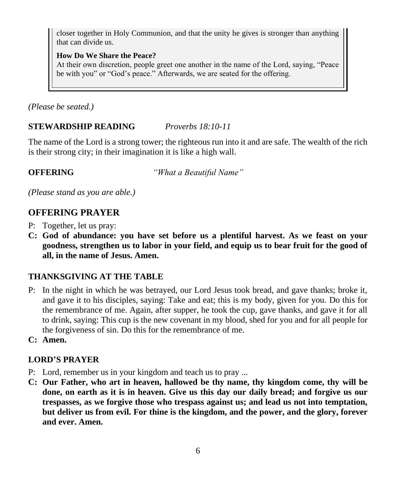closer together in Holy Communion, and that the unity he gives is stronger than anything that can divide us.

#### **How Do We Share the Peace?**

At their own discretion, people greet one another in the name of the Lord, saying, "Peace be with you" or "God's peace." Afterwards, we are seated for the offering.

*(Please be seated.)*

# **STEWARDSHIP READING** *Proverbs 18:10-11*

The name of the Lord is a strong tower; the righteous run into it and are safe. The wealth of the rich is their strong city; in their imagination it is like a high wall.

**OFFERING** *"What a Beautiful Name"*

*(Please stand as you are able.)*

# **OFFERING PRAYER**

- P: Together, let us pray:
- **C: God of abundance: you have set before us a plentiful harvest. As we feast on your goodness, strengthen us to labor in your field, and equip us to bear fruit for the good of all, in the name of Jesus. Amen.**

# **THANKSGIVING AT THE TABLE**

- P: In the night in which he was betrayed, our Lord Jesus took bread, and gave thanks; broke it, and gave it to his disciples, saying: Take and eat; this is my body, given for you. Do this for the remembrance of me. Again, after supper, he took the cup, gave thanks, and gave it for all to drink, saying: This cup is the new covenant in my blood, shed for you and for all people for the forgiveness of sin. Do this for the remembrance of me.
- **C: Amen.**

# **LORD'S PRAYER**

- P: Lord, remember us in your kingdom and teach us to pray ...
- **C: Our Father, who art in heaven, hallowed be thy name, thy kingdom come, thy will be done, on earth as it is in heaven. Give us this day our daily bread; and forgive us our trespasses, as we forgive those who trespass against us; and lead us not into temptation, but deliver us from evil. For thine is the kingdom, and the power, and the glory, forever and ever. Amen.**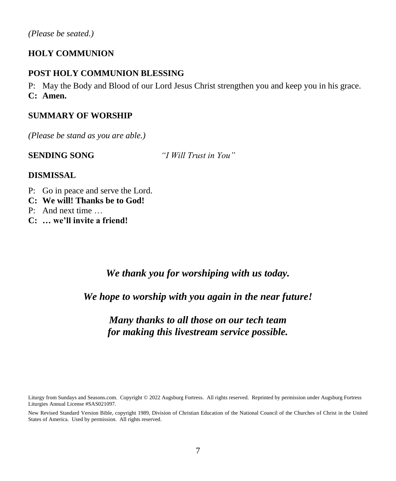### **HOLY COMMUNION**

#### **POST HOLY COMMUNION BLESSING**

P: May the Body and Blood of our Lord Jesus Christ strengthen you and keep you in his grace. **C: Amen.**

#### **SUMMARY OF WORSHIP**

*(Please be stand as you are able.)*

**SENDING SONG** *"I Will Trust in You"*

#### **DISMISSAL**

- P: Go in peace and serve the Lord.
- **C: We will! Thanks be to God!**
- P: And next time …
- **C: … we'll invite a friend!**

*We thank you for worshiping with us today.*

*We hope to worship with you again in the near future!*

# *Many thanks to all those on our tech team for making this livestream service possible.*

Liturgy from Sundays and Seasons.com. Copyright © 2022 Augsburg Fortress. All rights reserved. Reprinted by permission under Augsburg Fortress Liturgies Annual License #SAS021097.

New Revised Standard Version Bible, copyright 1989, Division of Christian Education of the National Council of the Churches of Christ in the United States of America. Used by permission. All rights reserved.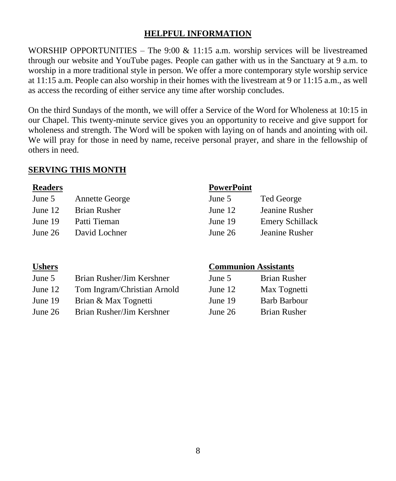### **HELPFUL INFORMATION**

WORSHIP OPPORTUNITIES – The 9:00  $& 11:15$  a.m. worship services will be livestreamed through our website and YouTube pages. People can gather with us in the Sanctuary at 9 a.m. to worship in a more traditional style in person. We offer a more contemporary style worship service at 11:15 a.m. People can also worship in their homes with the livestream at 9 or 11:15 a.m., as well as access the recording of either service any time after worship concludes.

On the third Sundays of the month, we will offer a Service of the Word for Wholeness at 10:15 in our Chapel. This twenty-minute service gives you an opportunity to receive and give support for wholeness and strength. The Word will be spoken with laying on of hands and anointing with oil. We will pray for those in need by name, receive personal prayer, and share in the fellowship of others in need.

#### **SERVING THIS MONTH**

| June 5  | <b>Annette George</b> | June 5    | Ted George  |
|---------|-----------------------|-----------|-------------|
| June 12 | Brian Rusher          | June $12$ | Jeanine Rus |
| June 19 | Patti Tieman          | June 19   | Emery Schi  |
| June 26 | David Lochner         | June $26$ | Jeanine Rus |
|         |                       |           |             |

#### **Readers PowerPoint**

| June 5  | <b>Annette George</b> | June 5    | Ted George             |
|---------|-----------------------|-----------|------------------------|
| June 12 | Brian Rusher          | June 12   | Jeanine Rusher         |
| June 19 | Patti Tieman          | June 19   | <b>Emery Schillack</b> |
| June 26 | David Lochner         | June $26$ | Jeanine Rusher         |

| June 5  | Brian Rusher/Jim Kershner   | June 5  | <b>Brian Rusher</b> |
|---------|-----------------------------|---------|---------------------|
| June 12 | Tom Ingram/Christian Arnold | June 12 | Max Tognetti        |
| June 19 | Brian & Max Tognetti        | June 19 | <b>Barb Barbour</b> |

June 26 Brian Rusher/Jim Kershner

#### **Ushers Communion Assistants**

| June 5  | <b>Brian Rusher</b> |
|---------|---------------------|
| June 12 | Max Tognetti        |
| June 19 | <b>Barb Barbour</b> |
| June 26 | <b>Brian Rusher</b> |